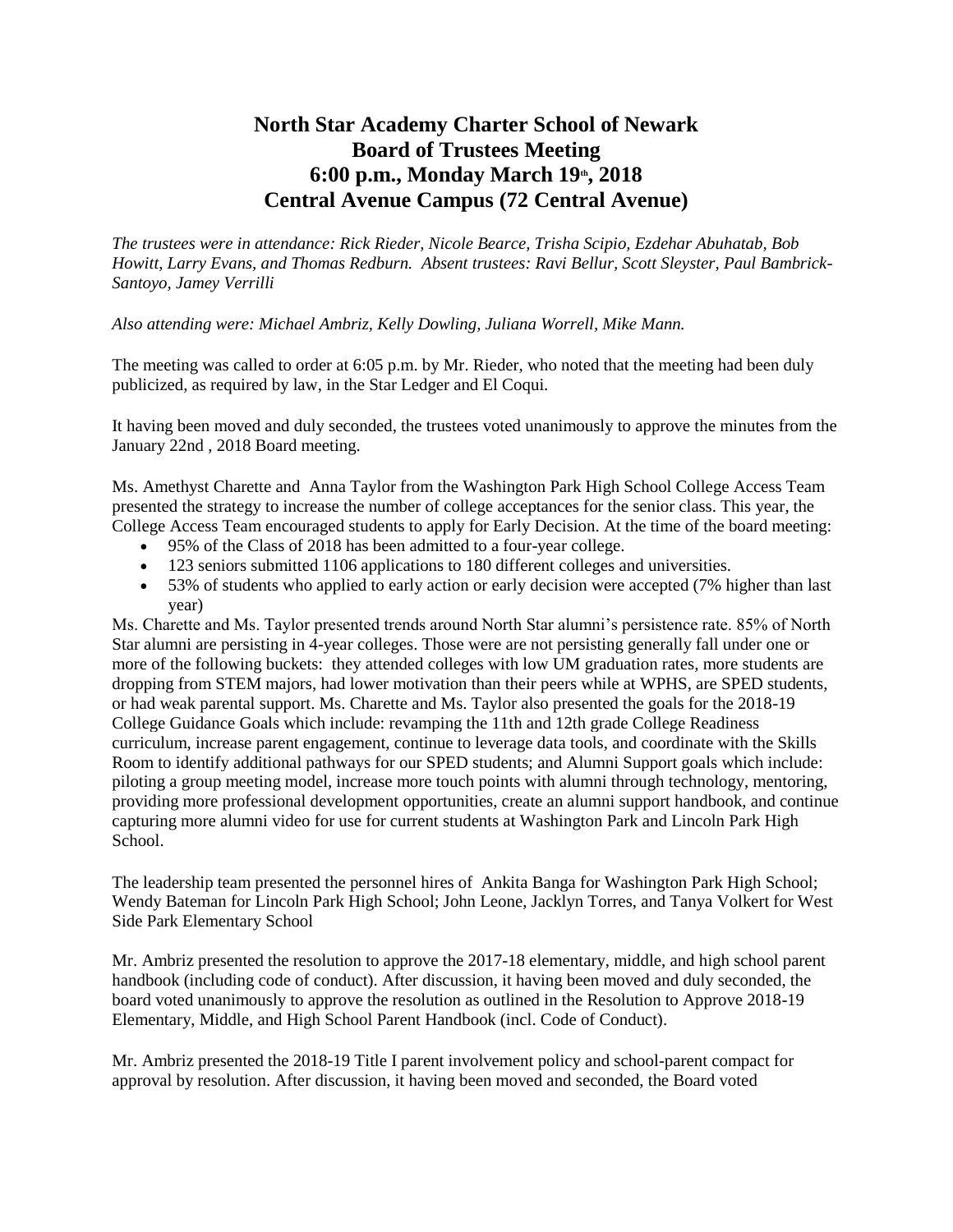## **North Star Academy Charter School of Newark Board of Trustees Meeting 6:00 p.m., Monday March 19th, 2018 Central Avenue Campus (72 Central Avenue)**

*The trustees were in attendance: Rick Rieder, Nicole Bearce, Trisha Scipio, Ezdehar Abuhatab, Bob Howitt, Larry Evans, and Thomas Redburn. Absent trustees: Ravi Bellur, Scott Sleyster, Paul Bambrick-Santoyo, Jamey Verrilli*

## *Also attending were: Michael Ambriz, Kelly Dowling, Juliana Worrell, Mike Mann.*

The meeting was called to order at 6:05 p.m. by Mr. Rieder, who noted that the meeting had been duly publicized, as required by law, in the Star Ledger and El Coqui.

It having been moved and duly seconded, the trustees voted unanimously to approve the minutes from the January 22nd , 2018 Board meeting.

Ms. Amethyst Charette and Anna Taylor from the Washington Park High School College Access Team presented the strategy to increase the number of college acceptances for the senior class. This year, the College Access Team encouraged students to apply for Early Decision. At the time of the board meeting:

- 95% of the Class of 2018 has been admitted to a four-year college.
- 123 seniors submitted 1106 applications to 180 different colleges and universities.
- 53% of students who applied to early action or early decision were accepted (7% higher than last year)

Ms. Charette and Ms. Taylor presented trends around North Star alumni's persistence rate. 85% of North Star alumni are persisting in 4-year colleges. Those were are not persisting generally fall under one or more of the following buckets: they attended colleges with low UM graduation rates, more students are dropping from STEM majors, had lower motivation than their peers while at WPHS, are SPED students, or had weak parental support. Ms. Charette and Ms. Taylor also presented the goals for the 2018-19 College Guidance Goals which include: revamping the 11th and 12th grade College Readiness curriculum, increase parent engagement, continue to leverage data tools, and coordinate with the Skills Room to identify additional pathways for our SPED students; and Alumni Support goals which include: piloting a group meeting model, increase more touch points with alumni through technology, mentoring, providing more professional development opportunities, create an alumni support handbook, and continue capturing more alumni video for use for current students at Washington Park and Lincoln Park High School.

The leadership team presented the personnel hires of Ankita Banga for Washington Park High School; Wendy Bateman for Lincoln Park High School; John Leone, Jacklyn Torres, and Tanya Volkert for West Side Park Elementary School

Mr. Ambriz presented the resolution to approve the 2017-18 elementary, middle, and high school parent handbook (including code of conduct). After discussion, it having been moved and duly seconded, the board voted unanimously to approve the resolution as outlined in the Resolution to Approve 2018-19 Elementary, Middle, and High School Parent Handbook (incl. Code of Conduct).

Mr. Ambriz presented the 2018-19 Title I parent involvement policy and school-parent compact for approval by resolution. After discussion, it having been moved and seconded, the Board voted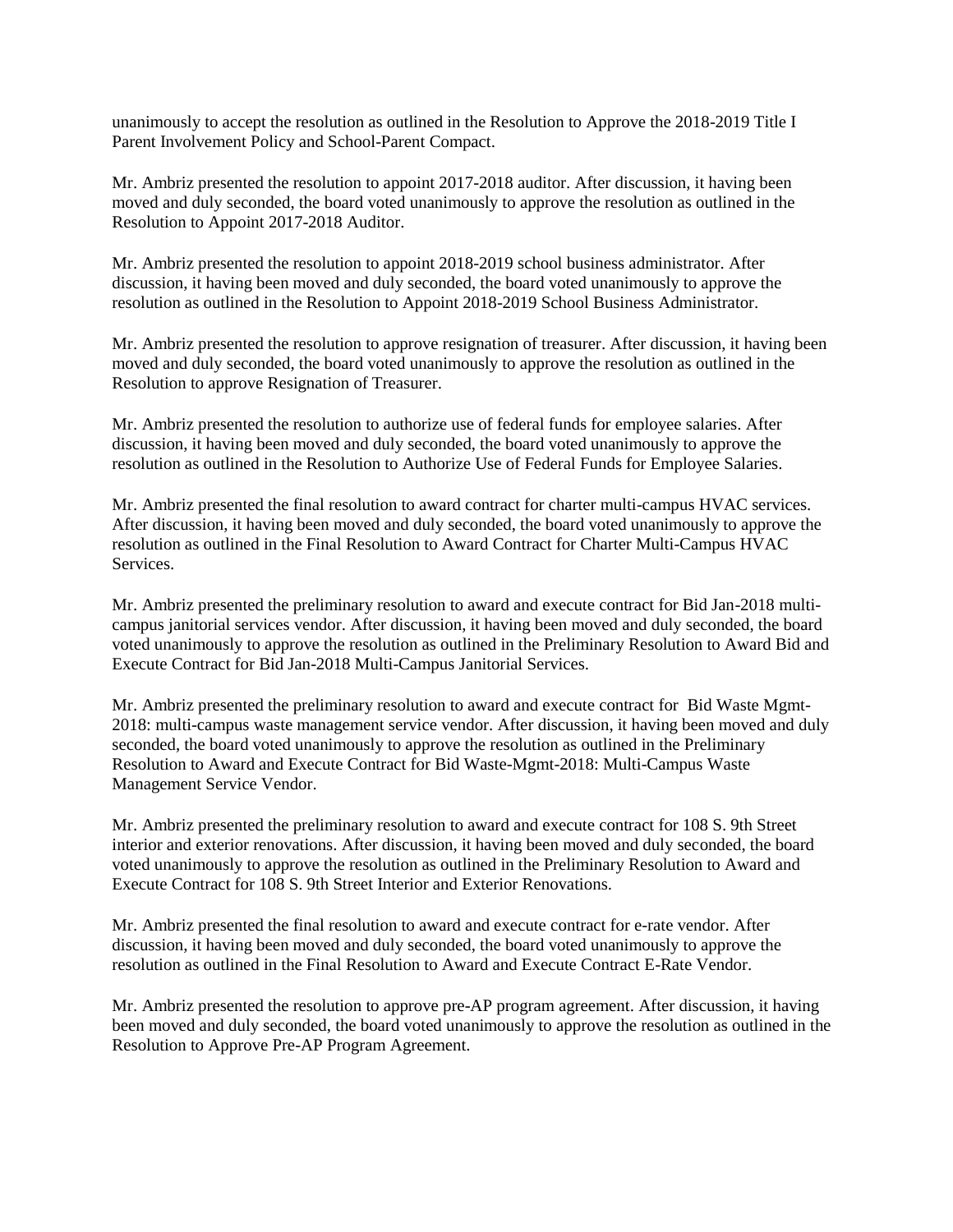unanimously to accept the resolution as outlined in the Resolution to Approve the 2018-2019 Title I Parent Involvement Policy and School-Parent Compact.

Mr. Ambriz presented the resolution to appoint 2017-2018 auditor. After discussion, it having been moved and duly seconded, the board voted unanimously to approve the resolution as outlined in the Resolution to Appoint 2017-2018 Auditor.

Mr. Ambriz presented the resolution to appoint 2018-2019 school business administrator. After discussion, it having been moved and duly seconded, the board voted unanimously to approve the resolution as outlined in the Resolution to Appoint 2018-2019 School Business Administrator.

Mr. Ambriz presented the resolution to approve resignation of treasurer. After discussion, it having been moved and duly seconded, the board voted unanimously to approve the resolution as outlined in the Resolution to approve Resignation of Treasurer.

Mr. Ambriz presented the resolution to authorize use of federal funds for employee salaries. After discussion, it having been moved and duly seconded, the board voted unanimously to approve the resolution as outlined in the Resolution to Authorize Use of Federal Funds for Employee Salaries.

Mr. Ambriz presented the final resolution to award contract for charter multi-campus HVAC services. After discussion, it having been moved and duly seconded, the board voted unanimously to approve the resolution as outlined in the Final Resolution to Award Contract for Charter Multi-Campus HVAC Services.

Mr. Ambriz presented the preliminary resolution to award and execute contract for Bid Jan-2018 multicampus janitorial services vendor. After discussion, it having been moved and duly seconded, the board voted unanimously to approve the resolution as outlined in the Preliminary Resolution to Award Bid and Execute Contract for Bid Jan-2018 Multi-Campus Janitorial Services.

Mr. Ambriz presented the preliminary resolution to award and execute contract for Bid Waste Mgmt-2018: multi-campus waste management service vendor. After discussion, it having been moved and duly seconded, the board voted unanimously to approve the resolution as outlined in the Preliminary Resolution to Award and Execute Contract for Bid Waste-Mgmt-2018: Multi-Campus Waste Management Service Vendor.

Mr. Ambriz presented the preliminary resolution to award and execute contract for 108 S. 9th Street interior and exterior renovations. After discussion, it having been moved and duly seconded, the board voted unanimously to approve the resolution as outlined in the Preliminary Resolution to Award and Execute Contract for 108 S. 9th Street Interior and Exterior Renovations.

Mr. Ambriz presented the final resolution to award and execute contract for e-rate vendor. After discussion, it having been moved and duly seconded, the board voted unanimously to approve the resolution as outlined in the Final Resolution to Award and Execute Contract E-Rate Vendor.

Mr. Ambriz presented the resolution to approve pre-AP program agreement. After discussion, it having been moved and duly seconded, the board voted unanimously to approve the resolution as outlined in the Resolution to Approve Pre-AP Program Agreement.